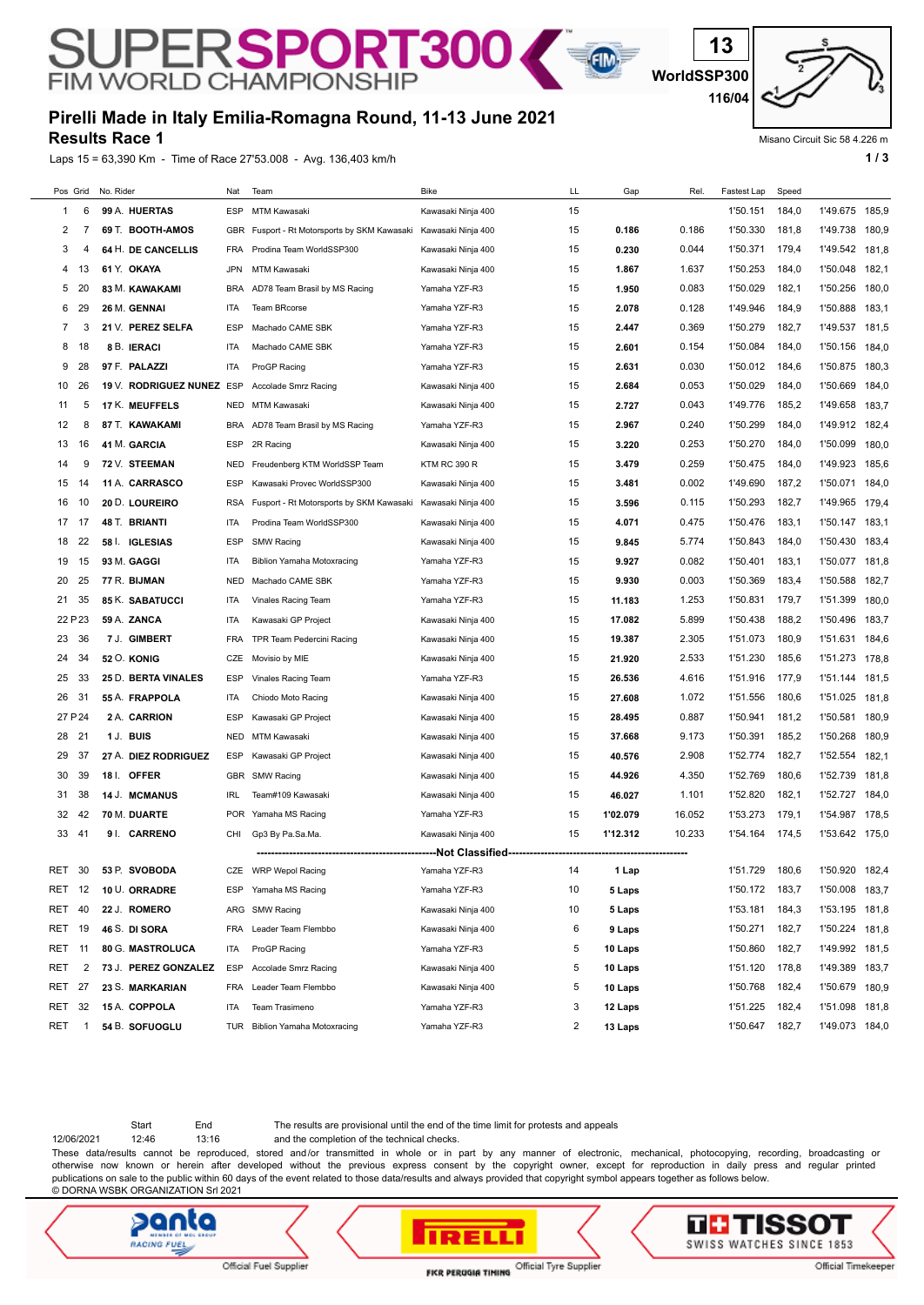## **Pirelli Made in Italy Emilia-Romagna Round, 11-13 June 2021**

SUPERSPORT300

**Results Race 1**

Laps 15 = 63,390 Km - Time of Race 27'53.008 - Avg. 136,403 km/h **1 and 1 and 1 and 1 and 1 and 1 a** 1 a

**13**

E

Misano Circuit Sic 58 4.226 m

| Pos Grid      |             | No. Rider |                           | Nat        | Team                                     | <b>Bike</b>         | LL | Gap      | Rel.   | Fastest Lap | Speed |                      |       |
|---------------|-------------|-----------|---------------------------|------------|------------------------------------------|---------------------|----|----------|--------|-------------|-------|----------------------|-------|
| 1             | 6           |           | 99 A. HUERTAS             | <b>ESP</b> | MTM Kawasaki                             | Kawasaki Ninja 400  | 15 |          |        | 1'50.151    | 184,0 | 1'49.675             | 185,9 |
| 2             | 7           |           | 69 T. BOOTH-AMOS          | GBR        | Fusport - Rt Motorsports by SKM Kawasaki | Kawasaki Ninja 400  | 15 | 0.186    | 0.186  | 1'50.330    | 181,8 | 1'49.738             | 180,9 |
| 3             | 4           |           | 64 H. DE CANCELLIS        | <b>FRA</b> | Prodina Team WorldSSP300                 | Kawasaki Ninja 400  | 15 | 0.230    | 0.044  | 1'50.371    | 179,4 | 1'49.542             | 181,8 |
| 4             | 13          |           | 61 Y. OKAYA               | <b>JPN</b> | MTM Kawasaki                             | Kawasaki Ninja 400  | 15 | 1.867    | 1.637  | 1'50.253    | 184,0 | 1'50.048             | 182,1 |
| 5             | 20          |           | <b>83 M. KAWAKAMI</b>     | <b>BRA</b> | AD78 Team Brasil by MS Racing            | Yamaha YZF-R3       | 15 | 1.950    | 0.083  | 1'50.029    | 182,1 | 1'50.256             | 180,0 |
| 6             | 29          |           | 26 M. GENNAI              | ITA        | Team BRcorse                             | Yamaha YZF-R3       | 15 | 2.078    | 0.128  | 1'49.946    | 184,9 | 1'50.888<br>1'49.537 | 183,1 |
| 7             | 3           |           | 21 V. PEREZ SELFA         | <b>ESP</b> | Machado CAME SBK<br>Machado CAME SBK     | Yamaha YZF-R3       | 15 | 2.447    | 0.369  | 1'50.279    | 182,7 |                      | 181,5 |
| 8             | 18          |           | 8 B. IERACI               | ITA        |                                          | Yamaha YZF-R3       | 15 | 2.601    | 0.154  | 1'50.084    | 184,0 | 1'50.156             | 184,0 |
| 9             | 28          |           | 97 F. PALAZZI             | ITA        | ProGP Racing                             | Yamaha YZF-R3       | 15 | 2.631    | 0.030  | 1'50.012    | 184,6 | 1'50.875             | 180,3 |
| 10            | 26          |           | 19 V. RODRIGUEZ NUNEZ ESP |            | Accolade Smrz Racing                     | Kawasaki Ninja 400  | 15 | 2.684    | 0.053  | 1'50.029    | 184,0 | 1'50.669             | 184,0 |
| 11            | 5           |           | 17 K. MEUFFELS            | <b>NED</b> | MTM Kawasaki                             | Kawasaki Ninja 400  | 15 | 2.727    | 0.043  | 1'49.776    | 185,2 | 1'49.658             | 183,7 |
| 12            | 8           |           | 87 T. KAWAKAMI            | <b>BRA</b> | AD78 Team Brasil by MS Racing            | Yamaha YZF-R3       | 15 | 2.967    | 0.240  | 1'50.299    | 184,0 | 1'49.912             | 182,4 |
| 13            | 16          |           | 41 M. GARCIA              | <b>ESP</b> | 2R Racing                                | Kawasaki Ninja 400  | 15 | 3.220    | 0.253  | 1'50.270    | 184,0 | 1'50.099             | 180,0 |
| 14            | 9           |           | 72 V. STEEMAN             | <b>NED</b> | Freudenberg KTM WorldSSP Team            | <b>KTM RC 390 R</b> | 15 | 3.479    | 0.259  | 1'50.475    | 184,0 | 1'49.923             | 185,6 |
| 15            | 14          |           | 11 A. CARRASCO            | <b>ESP</b> | Kawasaki Provec WorldSSP300              | Kawasaki Ninja 400  | 15 | 3.481    | 0.002  | 1'49.690    | 187,2 | 1'50.071             | 184,0 |
| 16            | 10          |           | 20 D. LOUREIRO            | <b>RSA</b> | Fusport - Rt Motorsports by SKM Kawasaki | Kawasaki Ninja 400  | 15 | 3.596    | 0.115  | 1'50.293    | 182,7 | 1'49.965             | 179,4 |
| 17            | 17          |           | 48 T. BRIANTI             | ITA        | Prodina Team WorldSSP300                 | Kawasaki Ninja 400  | 15 | 4.071    | 0.475  | 1'50.476    | 183,1 | 1'50.147             | 183,1 |
| 18            | 22          |           | 58   IGLESIAS             | <b>ESP</b> | <b>SMW Racing</b>                        | Kawasaki Ninja 400  | 15 | 9.845    | 5.774  | 1'50.843    | 184,0 | 1'50.430             | 183,4 |
| 19            | 15          |           | 93 M. GAGGI               | ITA        | <b>Biblion Yamaha Motoxracing</b>        | Yamaha YZF-R3       | 15 | 9.927    | 0.082  | 1'50.401    | 183,1 | 1'50.077             | 181,8 |
| 20            | 25          |           | 77 R. BIJMAN              | <b>NED</b> | Machado CAME SBK                         | Yamaha YZF-R3       | 15 | 9.930    | 0.003  | 1'50.369    | 183,4 | 1'50.588             | 182,7 |
| 21            | 35          |           | 85 K. SABATUCCI           | ITA        | Vinales Racing Team                      | Yamaha YZF-R3       | 15 | 11.183   | 1.253  | 1'50.831    | 179,7 | 1'51.399             | 180,0 |
| 22 P 23       |             |           | 59 A. ZANCA               | ITA        | Kawasaki GP Project                      | Kawasaki Ninja 400  | 15 | 17.082   | 5.899  | 1'50.438    | 188,2 | 1'50.496             | 183,7 |
| 23            | 36          |           | 7 J. GIMBERT              | <b>FRA</b> | TPR Team Pedercini Racing                | Kawasaki Ninja 400  | 15 | 19.387   | 2.305  | 1'51.073    | 180,9 | 1'51.631             | 184,6 |
| 24            | 34          |           | <b>52 O. KONIG</b>        | CZE        | Movisio by MIE                           | Kawasaki Ninja 400  | 15 | 21.920   | 2.533  | 1'51.230    | 185,6 | 1'51.273             | 178,8 |
| 25            | 33          |           | 25 D. BERTA VINALES       | <b>ESP</b> | Vinales Racing Team                      | Yamaha YZF-R3       | 15 | 26.536   | 4.616  | 1'51.916    | 177,9 | 1'51.144             | 181,5 |
| 26            | 31          |           | 55 A. FRAPPOLA            | ITA        | Chiodo Moto Racing                       | Kawasaki Ninja 400  | 15 | 27.608   | 1.072  | 1'51.556    | 180,6 | 1'51.025             | 181,8 |
| 27 P 24       |             |           | 2 A. CARRION              | <b>ESP</b> | Kawasaki GP Project                      | Kawasaki Ninja 400  | 15 | 28.495   | 0.887  | 1'50.941    | 181,2 | 1'50.581             | 180,9 |
| 28            | 21          |           | 1 J. BUIS                 | <b>NED</b> | MTM Kawasaki                             | Kawasaki Ninja 400  | 15 | 37.668   | 9.173  | 1'50.391    | 185,2 | 1'50.268             | 180,9 |
| 29            | 37          |           | 27 A. DIEZ RODRIGUEZ      | <b>ESP</b> | Kawasaki GP Project                      | Kawasaki Ninja 400  | 15 | 40.576   | 2.908  | 1'52.774    | 182,7 | 1'52.554             | 182,1 |
| 30            | 39          |           | 18 I. OFFER               | <b>GBR</b> | <b>SMW Racing</b>                        | Kawasaki Ninja 400  | 15 | 44.926   | 4.350  | 1'52.769    | 180,6 | 1'52.739             | 181,8 |
| 31            | 38          |           | 14 J. MCMANUS             | <b>IRL</b> | Team#109 Kawasaki                        | Kawasaki Ninja 400  | 15 | 46.027   | 1.101  | 1'52.820    | 182,1 | 1'52.727             | 184,0 |
| 32            | 42          |           | 70 M. DUARTE              | <b>POR</b> | Yamaha MS Racing                         | Yamaha YZF-R3       | 15 | 1'02.079 | 16.052 | 1'53.273    | 179,1 | 1'54.987             | 178,5 |
| 33            | 41          |           | 9 I. CARRENO              | CHI        | Gp3 By Pa.Sa.Ma.<br>                     | Kawasaki Ninja 400  | 15 | 1'12.312 | 10.233 | 1'54.164    | 174,5 | 1'53.642             | 175,0 |
| RET           | 30          |           | 53 P. SVOBODA             | CZE        | <b>WRP Wepol Racing</b>                  | Yamaha YZF-R3       | 14 | 1 Lap    |        | 1'51.729    | 180,6 | 1'50.920 182,4       |       |
| RET           | -12         |           | 10 U. ORRADRE             | <b>ESP</b> | Yamaha MS Racing                         | Yamaha YZF-R3       | 10 | 5 Laps   |        | 1'50.172    | 183,7 | 1'50.008             | 183,7 |
| RET           | 40          |           | 22 J. ROMERO              | ARG        | <b>SMW Racing</b>                        | Kawasaki Ninja 400  | 10 | 5 Laps   |        | 1'53.181    | 184,3 | 1'53.195             | 181,8 |
| <b>RET 19</b> |             |           | 46 S. DI SORA             | FRA        | Leader Team Flembbo                      | Kawasaki Ninja 400  | 6  | 9 Laps   |        | 1'50.271    | 182,7 | 1'50.224             | 181,8 |
| RET           | -11         |           | 80 G. MASTROLUCA          | ITA        | ProGP Racing                             | Yamaha YZF-R3       | 5  | 10 Laps  |        | 1'50.860    | 182,7 | 1'49.992             | 181,5 |
| RET           | 2           |           | 73 J. PEREZ GONZALEZ      | <b>ESP</b> | Accolade Smrz Racing                     | Kawasaki Ninja 400  | 5  | 10 Laps  |        | 1'51.120    | 178,8 | 1'49.389             | 183,7 |
| RET           | 27          |           | 23 S. MARKARIAN           | FRA        | Leader Team Flembbo                      | Kawasaki Ninja 400  | 5  | 10 Laps  |        | 1'50.768    | 182,4 | 1'50.679             | 180,9 |
| RET           | 32          |           | 15 A. COPPOLA             | ITA        | Team Trasimeno                           | Yamaha YZF-R3       | 3  | 12 Laps  |        | 1'51.225    | 182,4 | 1'51.098             | 181,8 |
| RET           | $\mathbf 1$ |           | 54 B. SOFUOGLU            | TUR        | <b>Biblion Yamaha Motoxracing</b>        | Yamaha YZF-R3       | 2  | 13 Laps  |        | 1'50.647    | 182,7 | 1'49.073 184,0       |       |
|               |             |           |                           |            |                                          |                     |    |          |        |             |       |                      |       |

Start End The results are provisional until the end of the time limit for protests and appeals

12/06/2021 12:46 13:16 and the completion of the technical checks.

These data/results cannot be reproduced, stored and/or transmitted in whole or in part by any manner of electronic, mechanical, photocopying, recording, broadcasting or otherwise now known or herein after developed without the previous express consent by the copyright owner, except for reproduction in daily press and regular printed publications on sale to the public within 60 days of the event related to those data/results and always provided that copyright symbol appears together as follows below. © DORNA WSBK ORGANIZATION Srl 2021

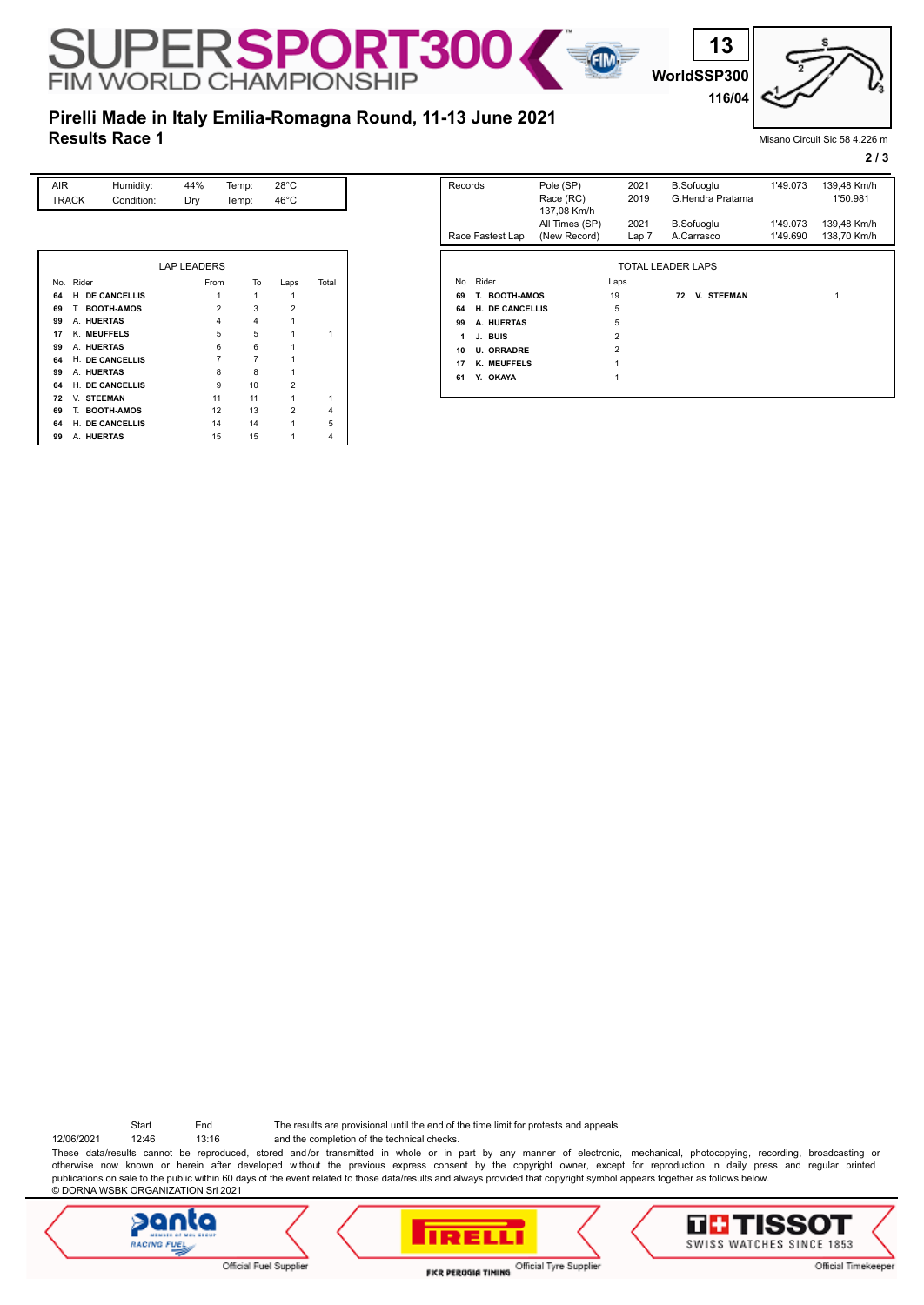**WorldSSP300 116/04**

**13**

## **Results Race 1 Pirelli Made in Italy Emilia-Romagna Round, 11-13 June 2021**

SUPERSPORT30

Misano Circuit Sic 58 4.226 m

**2 / 3**

| AIR          | Humidity:         | 44%                | Temp: | $28^{\circ}$ C |       |
|--------------|-------------------|--------------------|-------|----------------|-------|
| <b>TRACK</b> | Condition:        | Dry                | Temp: | $46^{\circ}$ C |       |
|              |                   |                    |       |                |       |
|              |                   |                    |       |                |       |
|              |                   |                    |       |                |       |
|              |                   | <b>LAP LEADERS</b> |       |                |       |
| Rider<br>No. |                   | From               | To    | Laps           | Total |
|              |                   |                    |       |                |       |
| 64           | H. DE CANCELLIS   |                    | 1     | 1              |       |
| 69           | T. BOOTH-AMOS     | $\overline{2}$     | 3     | $\overline{2}$ |       |
| 99           | A. HUERTAS        | 4                  | 4     | 1              |       |
| 17           | K. MEUFFELS       | 5                  | 5     | 1              | 1     |
| 99           | A. HUERTAS        | 6                  | 6     |                |       |
| 64           | H. DE CANCELLIS   | $\overline{7}$     | 7     |                |       |
| 99           | A. HUERTAS        | 8                  | 8     |                |       |
| 64           | H. DE CANCELLIS   | 9                  | 10    | $\overline{2}$ |       |
| 72           | V. STEEMAN        | 11                 | 11    | 1              | 1     |
| 69<br>Т.     | <b>BOOTH-AMOS</b> | 12                 | 13    | $\overline{2}$ | 4     |

**64** H. **DE CANCELLIS** 14 14 14 15<br>**99 A. HUERTAS** 15 15 1 14 4 **99** A. HUERTAS 15 15 15

| Records<br>Pole (SP)<br>Race (RC) |                                                | 137,08 Km/h    | 2021<br>2019   | <b>B.Sofuoglu</b><br>G.Hendra Pratama | 1'49.073 | 139,48 Km/h<br>1'50.981 |
|-----------------------------------|------------------------------------------------|----------------|----------------|---------------------------------------|----------|-------------------------|
|                                   |                                                | All Times (SP) | 2021           | <b>B.Sofuoglu</b>                     | 1'49.073 | 139,48 Km/h             |
|                                   | Race Fastest Lap                               | (New Record)   | Lap 7          | A.Carrasco                            | 1'49.690 | 138,70 Km/h             |
| 69<br>64<br>99                    | T. BOOTH-AMOS<br>H. DE CANCELLIS<br>A. HUERTAS |                | 19<br>5<br>5   | <b>V. STEEMAN</b><br>72               |          | 1                       |
| 1                                 | J. BUIS                                        |                | $\overline{2}$ |                                       |          |                         |
| 10                                | <b>U. ORRADRE</b>                              |                | $\overline{2}$ |                                       |          |                         |
| 17                                | K. MEUFFELS                                    |                | 1              |                                       |          |                         |
| 61                                | Y. OKAYA                                       |                | 1              |                                       |          |                         |

EM

12/06/2021 12:46 13:16 and the completion of the technical checks. Start End The results are provisional until the end of the time limit for protests and appeals

These data/results cannot be reproduced, stored and/or transmitted in whole or in part by any manner of electronic, mechanical, photocopying, recording, broadcasting or otherwise now known or herein after developed without the previous express consent by the copyright owner, except for reproduction in daily press and regular printed publications on sale to the public within 60 days of the event related to those data/results and always provided that copyright symbol appears together as follows below. © DORNA WSBK ORGANIZATION Srl 2021